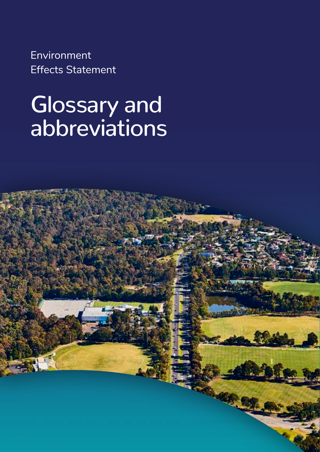Environment Effects Statement

## Glossary and abbreviations

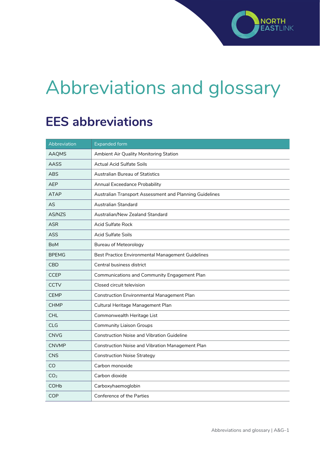## Abbreviations and glossary

## **EES abbreviations**

| Abbreviation    | <b>Expanded form</b>                                    |
|-----------------|---------------------------------------------------------|
| <b>AAQMS</b>    | Ambient Air Quality Monitoring Station                  |
| <b>AASS</b>     | <b>Actual Acid Sulfate Soils</b>                        |
| <b>ABS</b>      | <b>Australian Bureau of Statistics</b>                  |
| <b>AEP</b>      | Annual Exceedance Probability                           |
| <b>ATAP</b>     | Australian Transport Assessment and Planning Guidelines |
| AS              | Australian Standard                                     |
| AS/NZS          | Australian/New Zealand Standard                         |
| <b>ASR</b>      | <b>Acid Sulfate Rock</b>                                |
| ASS             | <b>Acid Sulfate Soils</b>                               |
| <b>BoM</b>      | <b>Bureau of Meteorology</b>                            |
| <b>BPEMG</b>    | Best Practice Environmental Management Guidelines       |
| <b>CBD</b>      | Central business district                               |
| <b>CCEP</b>     | Communications and Community Engagement Plan            |
| <b>CCTV</b>     | Closed circuit television                               |
| <b>CEMP</b>     | <b>Construction Environmental Management Plan</b>       |
| <b>CHMP</b>     | Cultural Heritage Management Plan                       |
| <b>CHL</b>      | Commonwealth Heritage List                              |
| <b>CLG</b>      | <b>Community Liaison Groups</b>                         |
| <b>CNVG</b>     | <b>Construction Noise and Vibration Guideline</b>       |
| <b>CNVMP</b>    | <b>Construction Noise and Vibration Management Plan</b> |
| <b>CNS</b>      | <b>Construction Noise Strategy</b>                      |
| CO              | Carbon monoxide                                         |
| CO <sub>2</sub> | Carbon dioxide                                          |
| <b>COHb</b>     | Carboxyhaemoglobin                                      |
| <b>COP</b>      | <b>Conference of the Parties</b>                        |

**NORTH** 

**FAST** 

INK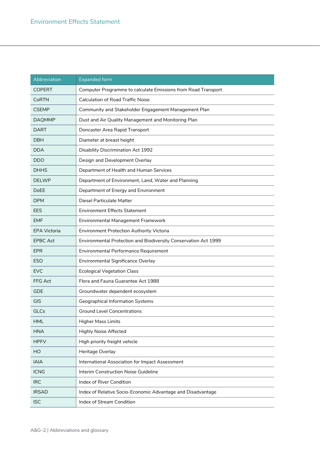| Abbreviation        | <b>Expanded form</b>                                            |
|---------------------|-----------------------------------------------------------------|
| <b>COPERT</b>       | Computer Programme to calculate Emissions from Road Transport   |
| <b>CoRTN</b>        | <b>Calculation of Road Traffic Noise</b>                        |
| <b>CSEMP</b>        | Community and Stakeholder Engagement Management Plan            |
| <b>DAQMMP</b>       | Dust and Air Quality Management and Monitoring Plan             |
| <b>DART</b>         | Doncaster Area Rapid Transport                                  |
| <b>DBH</b>          | Diameter at breast height                                       |
| DDA                 | <b>Disability Discrimination Act 1992</b>                       |
| <b>DDO</b>          | Design and Development Overlay                                  |
| <b>DHHS</b>         | Department of Health and Human Services                         |
| <b>DELWP</b>        | Department of Environment, Land, Water and Planning             |
| DoEE                | Department of Energy and Environment                            |
| <b>DPM</b>          | <b>Diesel Particulate Matter</b>                                |
| <b>EES</b>          | <b>Environment Effects Statement</b>                            |
| <b>EMF</b>          | <b>Environmental Management Framework</b>                       |
| <b>EPA Victoria</b> | <b>Environment Protection Authority Victoria</b>                |
| <b>EPBC Act</b>     | Environmental Protection and Biodiversity Conservation Act 1999 |
| <b>EPR</b>          | Environmental Performance Requirement                           |
| <b>ESO</b>          | Environmental Significance Overlay                              |
| <b>EVC</b>          | <b>Ecological Vegetation Class</b>                              |
| FFG Act             | Flora and Fauna Guarantee Act 1988                              |
| GDE                 | Groundwater dependent ecosystem                                 |
| <b>GIS</b>          | <b>Geographical Information Systems</b>                         |
| GLCs                | <b>Ground Level Concentrations</b>                              |
| <b>HML</b>          | <b>Higher Mass Limits</b>                                       |
| <b>HNA</b>          | <b>Highly Noise Affected</b>                                    |
| <b>HPFV</b>         | High priority freight vehicle                                   |
| HO                  | Heritage Overlay                                                |
| <b>IAIA</b>         | International Association for Impact Assessment                 |
| <b>ICNG</b>         | Interim Construction Noise Guideline                            |
| <b>IRC</b>          | Index of River Condition                                        |
| <b>IRSAD</b>        | Index of Relative Socio-Economic Advantage and Disadvantage     |
| <b>ISC</b>          | Index of Stream Condition                                       |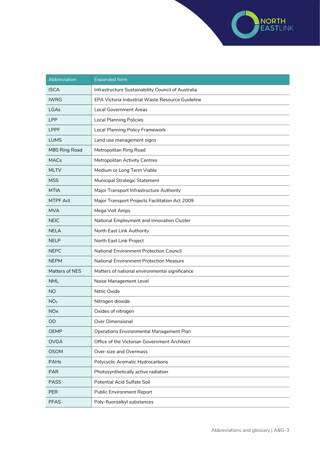

| Abbreviation          | <b>Expanded form</b>                               |
|-----------------------|----------------------------------------------------|
| <b>ISCA</b>           | Infrastructure Sustainability Council of Australia |
| <b>IWRG</b>           | EPA Victoria Industrial Waste Resource Guideline   |
| LGAs                  | <b>Local Government Areas</b>                      |
| <b>LPP</b>            | <b>Local Planning Policies</b>                     |
| <b>LPPF</b>           | <b>Local Planning Policy Framework</b>             |
| <b>LUMS</b>           | Land use management signs                          |
| M80 Ring Road         | Metropolitan Ring Road                             |
| <b>MACs</b>           | <b>Metropolitan Activity Centres</b>               |
| <b>MLTV</b>           | Medium or Long Term Viable                         |
| <b>MSS</b>            | Municipal Strategic Statement                      |
| <b>MTIA</b>           | Major Transport Infrastructure Authority           |
| <b>MTPF Act</b>       | Major Transport Projects Facilitation Act 2009     |
| <b>MVA</b>            | Mega Volt Amps                                     |
| <b>NEIC</b>           | National Employment and Innovation Cluster         |
| <b>NELA</b>           | North East Link Authority                          |
| <b>NELP</b>           | North East Link Project                            |
| <b>NEPC</b>           | <b>National Environment Protection Council</b>     |
| <b>NEPM</b>           | <b>National Environment Protection Measure</b>     |
| Matters of NES        | Matters of national environmental significance     |
| <b>NML</b>            | Noise Management Level                             |
| <b>NO</b>             | Nitric Oxide                                       |
| NO <sub>2</sub>       | Nitrogen dioxide                                   |
| <b>NO<sub>x</sub></b> | Oxides of nitrogen                                 |
| OD                    | Over Dimensional                                   |
| <b>OEMP</b>           | Operations Environmental Management Plan           |
| <b>OVGA</b>           | Office of the Victorian Government Architect       |
| <b>OSOM</b>           | Over-size and Overmass                             |
| <b>PAHs</b>           | Polycyclic Aromatic Hydrocarbons                   |
| <b>PAR</b>            | Photosynthetically active radiation                |
| <b>PASS</b>           | Potential Acid Sulfate Soil                        |
| <b>PER</b>            | <b>Public Environment Report</b>                   |
| <b>PFAS</b>           | Poly-fluoroalkyl substances                        |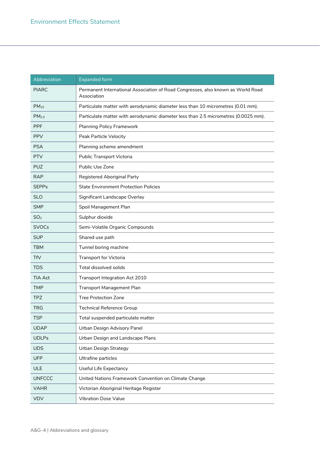| Abbreviation      | <b>Expanded form</b>                                                                            |
|-------------------|-------------------------------------------------------------------------------------------------|
| <b>PIARC</b>      | Permanent International Association of Road Congresses, also known as World Road<br>Association |
| $PM_{10}$         | Particulate matter with aerodynamic diameter less than 10 micrometres (0.01 mm).                |
| PM <sub>2.5</sub> | Particulate matter with aerodynamic diameter less than 2.5 micrometres (0.0025 mm).             |
| <b>PPF</b>        | <b>Planning Policy Framework</b>                                                                |
| <b>PPV</b>        | Peak Particle Velocity                                                                          |
| <b>PSA</b>        | Planning scheme amendment                                                                       |
| <b>PTV</b>        | Public Transport Victoria                                                                       |
| <b>PUZ</b>        | Public Use Zone                                                                                 |
| <b>RAP</b>        | Registered Aboriginal Party                                                                     |
| <b>SEPPs</b>      | <b>State Environment Protection Policies</b>                                                    |
| <b>SLO</b>        | Significant Landscape Overlay                                                                   |
| <b>SMP</b>        | Spoil Management Plan                                                                           |
| SO <sub>2</sub>   | Sulphur dioxide                                                                                 |
| <b>SVOCs</b>      | Semi-Volatile Organic Compounds                                                                 |
| <b>SUP</b>        | Shared use path                                                                                 |
| <b>TBM</b>        | Tunnel boring machine                                                                           |
| <b>TfV</b>        | <b>Transport for Victoria</b>                                                                   |
| <b>TDS</b>        | Total dissolved solids                                                                          |
| <b>TIA Act</b>    | Transport Integration Act 2010                                                                  |
| <b>TMP</b>        | <b>Transport Management Plan</b>                                                                |
| TPZ               | <b>Tree Protection Zone</b>                                                                     |
| <b>TRG</b>        | <b>Technical Reference Group</b>                                                                |
| TSP               | Total suspended particulate matter                                                              |
| <b>UDAP</b>       | Urban Design Advisory Panel                                                                     |
| <b>UDLPs</b>      | Urban Design and Landscape Plans                                                                |
| <b>UDS</b>        | <b>Urban Design Strategy</b>                                                                    |
| <b>UFP</b>        | Ultrafine particles                                                                             |
| ULE               | Useful Life Expectancy                                                                          |
| <b>UNFCCC</b>     | United Nations Framework Convention on Climate Change                                           |
| <b>VAHR</b>       | Victorian Aboriginal Heritage Register                                                          |
| <b>VDV</b>        | <b>Vibration Dose Value</b>                                                                     |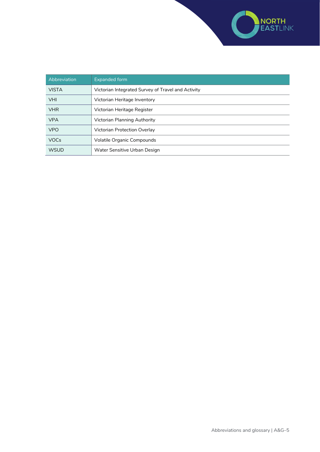

| Abbreviation | <b>Expanded form</b>                               |
|--------------|----------------------------------------------------|
| <b>VISTA</b> | Victorian Integrated Survey of Travel and Activity |
| <b>VHI</b>   | Victorian Heritage Inventory                       |
| <b>VHR</b>   | Victorian Heritage Register                        |
| <b>VPA</b>   | Victorian Planning Authority                       |
| <b>VPO</b>   | <b>Victorian Protection Overlay</b>                |
| <b>VOCs</b>  | Volatile Organic Compounds                         |
| <b>WSUD</b>  | Water Sensitive Urban Design                       |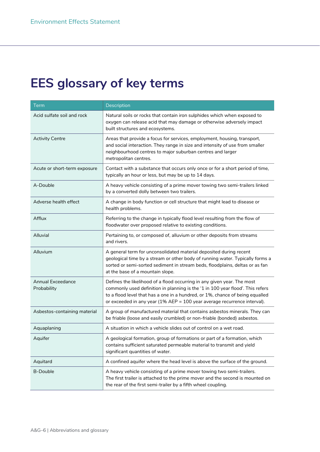## **EES glossary of key terms**

| <b>Term</b>                             | Description                                                                                                                                                                                                                                                                                                            |
|-----------------------------------------|------------------------------------------------------------------------------------------------------------------------------------------------------------------------------------------------------------------------------------------------------------------------------------------------------------------------|
| Acid sulfate soil and rock              | Natural soils or rocks that contain iron sulphides which when exposed to<br>oxygen can release acid that may damage or otherwise adversely impact<br>built structures and ecosystems.                                                                                                                                  |
| <b>Activity Centre</b>                  | Areas that provide a focus for services, employment, housing, transport,<br>and social interaction. They range in size and intensity of use from smaller<br>neighbourhood centres to major suburban centres and larger<br>metropolitan centres.                                                                        |
| Acute or short-term exposure            | Contact with a substance that occurs only once or for a short period of time,<br>typically an hour or less, but may be up to 14 days.                                                                                                                                                                                  |
| A-Double                                | A heavy vehicle consisting of a prime mover towing two semi-trailers linked<br>by a converted dolly between two trailers.                                                                                                                                                                                              |
| Adverse health effect                   | A change in body function or cell structure that might lead to disease or<br>health problems.                                                                                                                                                                                                                          |
| Afflux                                  | Referring to the change in typically flood level resulting from the flow of<br>floodwater over proposed relative to existing conditions.                                                                                                                                                                               |
| Alluvial                                | Pertaining to, or composed of, alluvium or other deposits from streams<br>and rivers.                                                                                                                                                                                                                                  |
| Alluvium                                | A general term for unconsolidated material deposited during recent<br>geological time by a stream or other body of running water. Typically forms a<br>sorted or semi-sorted sediment in stream beds, floodplains, deltas or as fan<br>at the base of a mountain slope.                                                |
| <b>Annual Exceedance</b><br>Probability | Defines the likelihood of a flood occurring in any given year. The most<br>commonly used definition in planning is the '1 in 100 year flood'. This refers<br>to a flood level that has a one in a hundred, or 1%, chance of being equalled<br>or exceeded in any year (1% AEP = 100 year average recurrence interval). |
| Asbestos-containing material            | A group of manufactured material that contains asbestos minerals. They can<br>be friable (loose and easily crumbled) or non-friable (bonded) asbestos.                                                                                                                                                                 |
| Aquaplaning                             | A situation in which a vehicle slides out of control on a wet road.                                                                                                                                                                                                                                                    |
| Aquifer                                 | A geological formation, group of formations or part of a formation, which<br>contains sufficient saturated permeable material to transmit and yield<br>significant quantities of water.                                                                                                                                |
| Aquitard                                | A confined aquifer where the head level is above the surface of the ground.                                                                                                                                                                                                                                            |
| <b>B-Double</b>                         | A heavy vehicle consisting of a prime mover towing two semi-trailers.<br>The first trailer is attached to the prime mover and the second is mounted on<br>the rear of the first semi-trailer by a fifth wheel coupling.                                                                                                |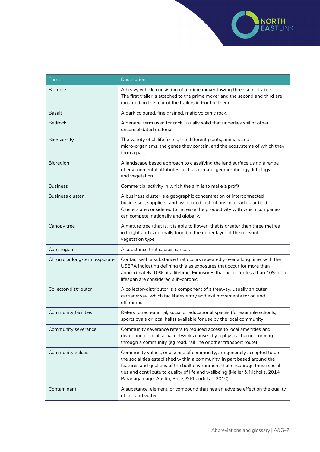

| <b>Term</b>                   | Description                                                                                                                                                                                                                                                                                                                                                              |
|-------------------------------|--------------------------------------------------------------------------------------------------------------------------------------------------------------------------------------------------------------------------------------------------------------------------------------------------------------------------------------------------------------------------|
| <b>B-Triple</b>               | A heavy vehicle consisting of a prime mover towing three semi-trailers.<br>The first trailer is attached to the prime mover and the second and third are<br>mounted on the rear of the trailers in front of them.                                                                                                                                                        |
| <b>Basalt</b>                 | A dark coloured, fine grained, mafic volcanic rock.                                                                                                                                                                                                                                                                                                                      |
| <b>Bedrock</b>                | A general term used for rock, usually solid that underlies soil or other<br>unconsolidated material.                                                                                                                                                                                                                                                                     |
| Biodiversity                  | The variety of all life forms, the different plants, animals and<br>micro-organisms, the genes they contain, and the ecosystems of which they<br>form a part.                                                                                                                                                                                                            |
| Bioregion                     | A landscape based approach to classifying the land surface using a range<br>of environmental attributes such as climate, geomorphology, lithology<br>and vegetation.                                                                                                                                                                                                     |
| <b>Business</b>               | Commercial activity in which the aim is to make a profit.                                                                                                                                                                                                                                                                                                                |
| <b>Business cluster</b>       | A business cluster is a geographic concentration of interconnected<br>businesses, suppliers, and associated institutions in a particular field.<br>Clusters are considered to increase the productivity with which companies<br>can compete, nationally and globally.                                                                                                    |
| Canopy tree                   | A mature tree (that is, it is able to flower) that is greater than three metres<br>in height and is normally found in the upper layer of the relevant<br>vegetation type.                                                                                                                                                                                                |
| Carcinogen                    | A substance that causes cancer.                                                                                                                                                                                                                                                                                                                                          |
| Chronic or long-term exposure | Contact with a substance that occurs repeatedly over a long time, with the<br>USEPA indicating defining this as exposures that occur for more than<br>approximately 10% of a lifetime, Exposures that occur for less than 10% of a<br>lifespan are considered sub-chronic.                                                                                               |
| Collector-distributor         | A collector-distributor is a component of a freeway, usually an outer<br>carriageway, which facilitates entry and exit movements for on and<br>off-ramps.                                                                                                                                                                                                                |
| <b>Community facilities</b>   | Refers to recreational, social or educational spaces (for example schools,<br>sports ovals or local halls) available for use by the local community.                                                                                                                                                                                                                     |
| Community severance           | Community severance refers to reduced access to local amenities and<br>disruption of local social networks caused by a physical barrier running<br>through a community (eg road, rail line or other transport route).                                                                                                                                                    |
| Community values              | Community values, or a sense of community, are generally accepted to be<br>the social ties established within a community, in part based around the<br>features and qualities of the built environment that encourage these social<br>ties and contribute to quality of life and wellbeing (Maller & Nicholls, 2014;<br>Paranagamage, Austin, Price, & Khandokar, 2010). |
| Contaminant                   | A substance, element, or compound that has an adverse effect on the quality<br>of soil and water.                                                                                                                                                                                                                                                                        |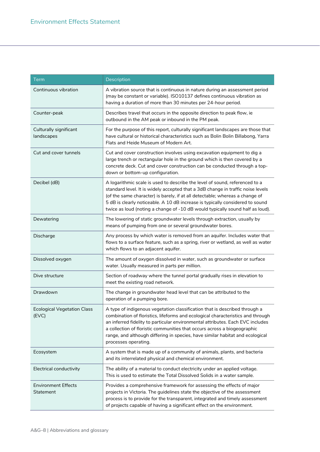| <b>Term</b>                                | Description                                                                                                                                                                                                                                                                                                                                                                                                                          |
|--------------------------------------------|--------------------------------------------------------------------------------------------------------------------------------------------------------------------------------------------------------------------------------------------------------------------------------------------------------------------------------------------------------------------------------------------------------------------------------------|
| Continuous vibration                       | A vibration source that is continuous in nature during an assessment period<br>(may be constant or variable). ISO10137 defines continuous vibration as<br>having a duration of more than 30 minutes per 24-hour period.                                                                                                                                                                                                              |
| Counter-peak                               | Describes travel that occurs in the opposite direction to peak flow, ie<br>outbound in the AM peak or inbound in the PM peak.                                                                                                                                                                                                                                                                                                        |
| Culturally significant<br>landscapes       | For the purpose of this report, culturally significant landscapes are those that<br>have cultural or historical characteristics such as Bolin Bolin Billabong, Yarra<br>Flats and Heide Museum of Modern Art.                                                                                                                                                                                                                        |
| Cut and cover tunnels                      | Cut and cover construction involves using excavation equipment to dig a<br>large trench or rectangular hole in the ground which is then covered by a<br>concrete deck. Cut and cover construction can be conducted through a top-<br>down or bottom-up configuration.                                                                                                                                                                |
| Decibel (dB)                               | A logarithmic scale is used to describe the level of sound, referenced to a<br>standard level. It is widely accepted that a 3dB change in traffic noise levels<br>(of the same character) is barely, if at all detectable; whereas a change of<br>5 dB is clearly noticeable. A 10 dB increase is typically considered to sound<br>twice as loud (noting a change of -10 dB would typically sound half as loud).                     |
| Dewatering                                 | The lowering of static groundwater levels through extraction, usually by<br>means of pumping from one or several groundwater bores.                                                                                                                                                                                                                                                                                                  |
| Discharge                                  | Any process by which water is removed from an aquifer. Includes water that<br>flows to a surface feature, such as a spring, river or wetland, as well as water<br>which flows to an adjacent aquifer.                                                                                                                                                                                                                                |
| Dissolved oxygen                           | The amount of oxygen dissolved in water, such as groundwater or surface<br>water. Usually measured in parts per million.                                                                                                                                                                                                                                                                                                             |
| Dive structure                             | Section of roadway where the tunnel portal gradually rises in elevation to<br>meet the existing road network.                                                                                                                                                                                                                                                                                                                        |
| Drawdown                                   | The change in groundwater head level that can be attributed to the<br>operation of a pumping bore.                                                                                                                                                                                                                                                                                                                                   |
| <b>Ecological Vegetation Class</b><br>EVC) | A type of indigenous vegetation classification that is described through a<br>combination of floristics, lifeforms and ecological characteristics and through<br>an inferred fidelity to particular environmental attributes. Each EVC includes<br>a collection of floristic communities that occurs across a biogeographic<br>range, and although differing in species, have similar habitat and ecological<br>processes operating. |
| Ecosystem                                  | A system that is made up of a community of animals, plants, and bacteria<br>and its interrelated physical and chemical environment.                                                                                                                                                                                                                                                                                                  |
| Electrical conductivity                    | The ability of a material to conduct electricity under an applied voltage.<br>This is used to estimate the Total Dissolved Solids in a water sample.                                                                                                                                                                                                                                                                                 |
| <b>Environment Effects</b><br>Statement    | Provides a comprehensive framework for assessing the effects of major<br>projects in Victoria. The guidelines state the objective of the assessment<br>process is to provide for the transparent, integrated and timely assessment<br>of projects capable of having a significant effect on the environment.                                                                                                                         |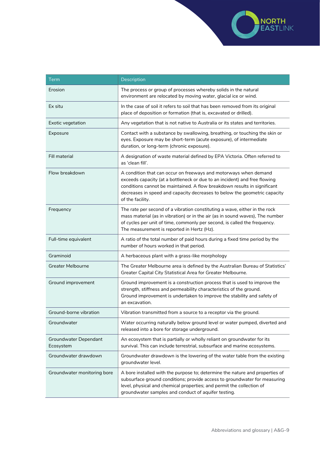

| <b>Term</b>                        | Description                                                                                                                                                                                                                                                                                                                |
|------------------------------------|----------------------------------------------------------------------------------------------------------------------------------------------------------------------------------------------------------------------------------------------------------------------------------------------------------------------------|
| Erosion                            | The process or group of processes whereby solids in the natural<br>environment are relocated by moving water, glacial ice or wind.                                                                                                                                                                                         |
| Ex situ                            | In the case of soil it refers to soil that has been removed from its original<br>place of deposition or formation (that is, excavated or drilled).                                                                                                                                                                         |
| Exotic vegetation                  | Any vegetation that is not native to Australia or its states and territories.                                                                                                                                                                                                                                              |
| Exposure                           | Contact with a substance by swallowing, breathing, or touching the skin or<br>eyes. Exposure may be short-term (acute exposure), of intermediate<br>duration, or long-term (chronic exposure).                                                                                                                             |
| Fill material                      | A designation of waste material defined by EPA Victoria. Often referred to<br>as 'clean fill'.                                                                                                                                                                                                                             |
| Flow breakdown                     | A condition that can occur on freeways and motorways when demand<br>exceeds capacity (at a bottleneck or due to an incident) and free flowing<br>conditions cannot be maintained. A flow breakdown results in significant<br>decreases in speed and capacity decreases to below the geometric capacity<br>of the facility. |
| Frequency                          | The rate per second of a vibration constituting a wave, either in the rock<br>mass material (as in vibration) or in the air (as in sound waves), The number<br>of cycles per unit of time, commonly per second, is called the frequency.<br>The measurement is reported in Hertz (Hz).                                     |
| Full-time equivalent               | A ratio of the total number of paid hours during a fixed time period by the<br>number of hours worked in that period.                                                                                                                                                                                                      |
| Graminoid                          | A herbaceous plant with a grass-like morphology                                                                                                                                                                                                                                                                            |
| <b>Greater Melbourne</b>           | The Greater Melbourne area is defined by the Australian Bureau of Statistics'<br>Greater Capital City Statistical Area for Greater Melbourne.                                                                                                                                                                              |
| Ground improvement                 | Ground improvement is a construction process that is used to improve the<br>strength, stiffness and permeability characteristics of the ground.<br>Ground improvement is undertaken to improve the stability and safety of<br>an excavation.                                                                               |
| Ground-borne vibration             | Vibration transmitted from a source to a receptor via the ground.                                                                                                                                                                                                                                                          |
| Groundwater                        | Water occurring naturally below ground level or water pumped, diverted and<br>released into a bore for storage underground.                                                                                                                                                                                                |
| Groundwater Dependant<br>Ecosystem | An ecosystem that is partially or wholly reliant on groundwater for its<br>survival. This can include terrestrial, subsurface and marine ecosystems.                                                                                                                                                                       |
| Groundwater drawdown               | Groundwater drawdown is the lowering of the water table from the existing<br>groundwater level.                                                                                                                                                                                                                            |
| Groundwater monitoring bore        | A bore installed with the purpose to; determine the nature and properties of<br>subsurface ground conditions; provide access to groundwater for measuring<br>level, physical and chemical properties; and permit the collection of<br>groundwater samples and conduct of aquifer testing.                                  |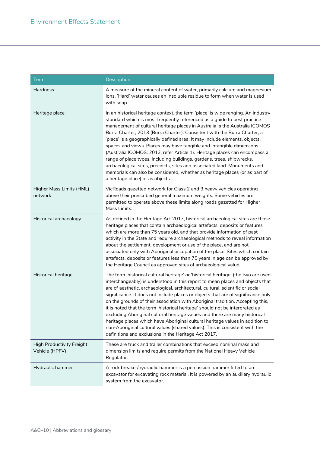| <b>Term</b>                                 | Description                                                                                                                                                                                                                                                                                                                                                                                                                                                                                                                                                                                                                                                                                                                                                                                                                             |
|---------------------------------------------|-----------------------------------------------------------------------------------------------------------------------------------------------------------------------------------------------------------------------------------------------------------------------------------------------------------------------------------------------------------------------------------------------------------------------------------------------------------------------------------------------------------------------------------------------------------------------------------------------------------------------------------------------------------------------------------------------------------------------------------------------------------------------------------------------------------------------------------------|
| Hardness                                    | A measure of the mineral content of water, primarily calcium and magnesium<br>ions. 'Hard' water causes an insoluble residue to form when water is used<br>with soap.                                                                                                                                                                                                                                                                                                                                                                                                                                                                                                                                                                                                                                                                   |
| Heritage place                              | In an historical heritage context, the term 'place' is wide ranging. An industry<br>standard which is most frequently referenced as a guide to best practice<br>management of cultural heritage places in Australia is the Australia ICOMOS<br>Burra Charter, 2013 (Burra Charter). Consistent with the Burra Charter, a<br>'place' is a geographically defined area. It may include elements, objects,<br>spaces and views. Places may have tangible and intangible dimensions<br>(Australia ICOMOS: 2013, refer Article 1). Heritage places can encompass a<br>range of place types, including buildings, gardens, trees, shipwrecks,<br>archaeological sites, precincts, sites and associated land. Monuments and<br>memorials can also be considered, whether as heritage places (or as part of<br>a heritage place) or as objects. |
| Higher Mass Limits (HML)<br>network         | VicRoads gazetted network for Class 2 and 3 heavy vehicles operating<br>above their prescribed general maximum weights. Some vehicles are<br>permitted to operate above these limits along roads gazetted for Higher<br>Mass Limits.                                                                                                                                                                                                                                                                                                                                                                                                                                                                                                                                                                                                    |
| Historical archaeology                      | As defined in the Heritage Act 2017, historical archaeological sites are those<br>heritage places that contain archaeological artefacts, deposits or features<br>which are more than 75 years old, and that provide information of past<br>activity in the State and require archaeological methods to reveal information<br>about the settlement, development or use of the place, and are not<br>associated only with Aboriginal occupation of the place. Sites which contain<br>artefacts, deposits or features less than 75 years in age can be approved by<br>the Heritage Council as approved sites of archaeological value.                                                                                                                                                                                                      |
| Historical heritage                         | The term 'historical cultural heritage' or 'historical heritage' (the two are used<br>interchangeably) is understood in this report to mean places and objects that<br>are of aesthetic, archaeological, architectural, cultural, scientific or social<br>significance. It does not include places or objects that are of significance only<br>on the grounds of their association with Aboriginal tradition. Accepting this,<br>it is noted that the term 'historical heritage' should not be interpreted as<br>excluding Aboriginal cultural heritage values and there are many historical<br>heritage places which have Aboriginal cultural heritage values in addition to<br>non-Aboriginal cultural values (shared values). This is consistent with the<br>definitions and exclusions in the Heritage Act 2017.                    |
| High Productivity Freight<br>Vehicle (HPFV) | These are truck and trailer combinations that exceed nominal mass and<br>dimension limits and require permits from the National Heavy Vehicle<br>Regulator.                                                                                                                                                                                                                                                                                                                                                                                                                                                                                                                                                                                                                                                                             |
| Hydraulic hammer                            | A rock breaker/hydraulic hammer is a percussion hammer fitted to an<br>excavator for excavating rock material. It is powered by an auxiliary hydraulic<br>system from the excavator.                                                                                                                                                                                                                                                                                                                                                                                                                                                                                                                                                                                                                                                    |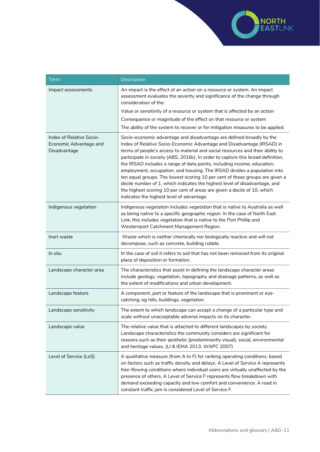

| <b>Term</b>                                                        | Description                                                                                                                                                                                                                                                                                                                                                                                                                                                                                                                                                                                                                                                                                                                                                       |
|--------------------------------------------------------------------|-------------------------------------------------------------------------------------------------------------------------------------------------------------------------------------------------------------------------------------------------------------------------------------------------------------------------------------------------------------------------------------------------------------------------------------------------------------------------------------------------------------------------------------------------------------------------------------------------------------------------------------------------------------------------------------------------------------------------------------------------------------------|
| Impact assessments                                                 | An impact is the effect of an action on a resource or system. An impact<br>assessment evaluates the severity and significance of the change through<br>consideration of the:                                                                                                                                                                                                                                                                                                                                                                                                                                                                                                                                                                                      |
|                                                                    | Value or sensitivity of a resource or system that is affected by an action                                                                                                                                                                                                                                                                                                                                                                                                                                                                                                                                                                                                                                                                                        |
|                                                                    | Consequence or magnitude of the effect on that resource or system                                                                                                                                                                                                                                                                                                                                                                                                                                                                                                                                                                                                                                                                                                 |
|                                                                    | The ability of the system to recover or for mitigation measures to be applied.                                                                                                                                                                                                                                                                                                                                                                                                                                                                                                                                                                                                                                                                                    |
| Index of Relative Socio-<br>Economic Advantage and<br>Disadvantage | Socio-economic advantage and disadvantage are defined broadly by the<br>Index of Relative Socio-Economic Advantage and Disadvantage (IRSAD) in<br>terms of people's access to material and social resources and their ability to<br>participate in society (ABS, 2018c). In order to capture this broad definition,<br>the IRSAD includes a range of data points, including income, education,<br>employment, occupation, and housing. The IRSAD divides a population into<br>ten equal groups. The lowest scoring 10 per cent of these groups are given a<br>decile number of 1, which indicates the highest level of disadvantage, and<br>the highest scoring 10 per cent of areas are given a decile of 10, which<br>indicates the highest level of advantage. |
| Indigenous vegetation                                              | Indigenous vegetation includes vegetation that is native to Australia as well<br>as being native to a specific geographic region. In the case of North East<br>Link, this includes vegetation that is native to the Port Phillip and<br>Westernport Catchment Management Region.                                                                                                                                                                                                                                                                                                                                                                                                                                                                                  |
| Inert waste                                                        | Waste which is neither chemically nor biologically reactive and will not<br>decompose, such as concrete, building rubble.                                                                                                                                                                                                                                                                                                                                                                                                                                                                                                                                                                                                                                         |
| In situ                                                            | In the case of soil it refers to soil that has not been removed from its original<br>place of deposition or formation.                                                                                                                                                                                                                                                                                                                                                                                                                                                                                                                                                                                                                                            |
| Landscape character area                                           | The characteristics that assist in defining the landscape character areas<br>include geology, vegetation, topography and drainage patterns, as well as<br>the extent of modifications and urban development.                                                                                                                                                                                                                                                                                                                                                                                                                                                                                                                                                      |
| Landscape feature                                                  | A component, part or feature of the landscape that is prominent or eye-<br>catching, eg hills, buildings, vegetation.                                                                                                                                                                                                                                                                                                                                                                                                                                                                                                                                                                                                                                             |
| Landscape sensitivity                                              | The extent to which landscape can accept a change of a particular type and<br>scale without unacceptable adverse impacts on its character.                                                                                                                                                                                                                                                                                                                                                                                                                                                                                                                                                                                                                        |
| Landscape value                                                    | The relative value that is attached to different landscapes by society.<br>Landscape characteristics the community considers are significant for<br>reasons such as their aesthetic (predominantly visual), social, environmental<br>and heritage values. (LI & IEMA 2013. WAPC 2007)                                                                                                                                                                                                                                                                                                                                                                                                                                                                             |
| Level of Service (LoS)                                             | A qualitative measure (from A to F) for ranking operating conditions, based<br>on factors such as traffic density and delays. A Level of Service A represents<br>free-flowing conditions where individual users are virtually unaffected by the<br>presence of others. A Level of Service F represents flow breakdown with<br>demand exceeding capacity and low comfort and convenience. A road in<br>constant traffic jam is considered Level of Service F.                                                                                                                                                                                                                                                                                                      |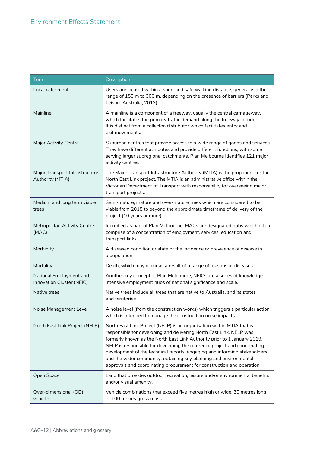| <b>Term</b>                                          | Description                                                                                                                                                                                                                                                                                                                                                                                                                                                                                                                       |
|------------------------------------------------------|-----------------------------------------------------------------------------------------------------------------------------------------------------------------------------------------------------------------------------------------------------------------------------------------------------------------------------------------------------------------------------------------------------------------------------------------------------------------------------------------------------------------------------------|
| Local catchment                                      | Users are located within a short and safe walking distance, generally in the<br>range of 150 m to 300 m, depending on the presence of barriers (Parks and<br>Leisure Australia, 2013)                                                                                                                                                                                                                                                                                                                                             |
| Mainline                                             | A mainline is a component of a freeway, usually the central carriageway,<br>which facilitates the primary traffic demand along the freeway corridor.<br>It is distinct from a collector-distributor which facilitates entry and<br>exit movements.                                                                                                                                                                                                                                                                                |
| <b>Major Activity Centre</b>                         | Suburban centres that provide access to a wide range of goods and services.<br>They have different attributes and provide different functions, with some<br>serving larger subregional catchments. Plan Melbourne identifies 121 major<br>activity centres.                                                                                                                                                                                                                                                                       |
| Major Transport Infrastructure<br>Authority (MTIA)   | The Major Transport Infrastructure Authority (MTIA) is the proponent for the<br>North East Link project. The MTIA is an administrative office within the<br>Victorian Department of Transport with responsibility for overseeing major<br>transport projects.                                                                                                                                                                                                                                                                     |
| Medium and long term viable<br>trees                 | Semi-mature, mature and over-mature trees which are considered to be<br>viable from 2018 to beyond the approximate timeframe of delivery of the<br>project (10 years or more).                                                                                                                                                                                                                                                                                                                                                    |
| Metropolitan Activity Centre<br>(MAC)                | Identified as part of Plan Melbourne, MACs are designated hubs which often<br>comprise of a concentration of employment, services, education and<br>transport links.                                                                                                                                                                                                                                                                                                                                                              |
| Morbidity                                            | A diseased condition or state or the incidence or prevalence of disease in<br>a population.                                                                                                                                                                                                                                                                                                                                                                                                                                       |
| Mortality                                            | Death, which may occur as a result of a range of reasons or diseases.                                                                                                                                                                                                                                                                                                                                                                                                                                                             |
| National Employment and<br>Innovation Cluster (NEIC) | Another key concept of Plan Melbourne, NEICs are a series of knowledge-<br>intensive employment hubs of national significance and scale.                                                                                                                                                                                                                                                                                                                                                                                          |
| Native trees                                         | Native trees include all trees that are native to Australia, and its states<br>and territories.                                                                                                                                                                                                                                                                                                                                                                                                                                   |
| Noise Management Level                               | A noise level (from the construction works) which triggers a particular action<br>which is intended to manage the construction noise impacts.                                                                                                                                                                                                                                                                                                                                                                                     |
| North East Link Project (NELP)                       | North East Link Project (NELP) is an organisation within MTIA that is<br>responsible for developing and delivering North East Link. NELP was<br>formerly known as the North East Link Authority prior to 1 January 2019.<br>NELP is responsible for developing the reference project and coordinating<br>development of the technical reports, engaging and informing stakeholders<br>and the wider community, obtaining key planning and environmental<br>approvals and coordinating procurement for construction and operation. |
| Open Space                                           | Land that provides outdoor recreation, leisure and/or environmental benefits<br>and/or visual amenity.                                                                                                                                                                                                                                                                                                                                                                                                                            |
| Over-dimensional (OD)<br>vehicles                    | Vehicle combinations that exceed five metres high or wide, 30 metres long<br>or 100 tonnes gross mass.                                                                                                                                                                                                                                                                                                                                                                                                                            |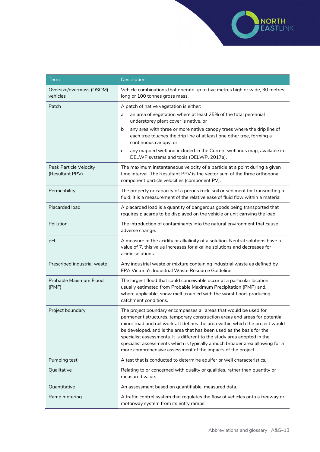

| Term                                      | Description                                                                                                                                                                                                                                                                                                                                                                                                                                                                                                                           |
|-------------------------------------------|---------------------------------------------------------------------------------------------------------------------------------------------------------------------------------------------------------------------------------------------------------------------------------------------------------------------------------------------------------------------------------------------------------------------------------------------------------------------------------------------------------------------------------------|
| Oversize/overmass (OSOM)<br>vehicles      | Vehicle combinations that operate up to five metres high or wide, 30 metres<br>long or 100 tonnes gross mass.                                                                                                                                                                                                                                                                                                                                                                                                                         |
| Patch                                     | A patch of native vegetation is either:                                                                                                                                                                                                                                                                                                                                                                                                                                                                                               |
|                                           | an area of vegetation where at least 25% of the total perennial<br>a<br>understorey plant cover is native, or                                                                                                                                                                                                                                                                                                                                                                                                                         |
|                                           | any area with three or more native canopy trees where the drip line of<br>b<br>each tree touches the drip line of at least one other tree, forming a<br>continuous canopy, or                                                                                                                                                                                                                                                                                                                                                         |
|                                           | any mapped wetland included in the Current wetlands map, available in<br>c<br>DELWP systems and tools (DELWP, 2017a).                                                                                                                                                                                                                                                                                                                                                                                                                 |
| Peak Particle Velocity<br>(Resultant PPV) | The maximum instantaneous velocity of a particle at a point during a given<br>time interval. The Resultant PPV is the vector sum of the three orthogonal<br>component particle velocities (component PV).                                                                                                                                                                                                                                                                                                                             |
| Permeability                              | The property or capacity of a porous rock, soil or sediment for transmitting a<br>fluid; it is a measurement of the relative ease of fluid flow within a material.                                                                                                                                                                                                                                                                                                                                                                    |
| Placarded load                            | A placarded load is a quantity of dangerous goods being transported that<br>requires placards to be displayed on the vehicle or unit carrying the load.                                                                                                                                                                                                                                                                                                                                                                               |
| Pollution                                 | The introduction of contaminants into the natural environment that cause<br>adverse change.                                                                                                                                                                                                                                                                                                                                                                                                                                           |
| pH                                        | A measure of the acidity or alkalinity of a solution. Neutral solutions have a<br>value of 7, this value increases for alkaline solutions and decreases for<br>acidic solutions.                                                                                                                                                                                                                                                                                                                                                      |
| Prescribed industrial waste               | Any industrial waste or mixture containing industrial waste as defined by<br>EPA Victoria's Industrial Waste Resource Guideline.                                                                                                                                                                                                                                                                                                                                                                                                      |
| Probable Maximum Flood<br>(PMF)           | The largest flood that could conceivable occur at a particular location,<br>usually estimated from Probable Maximum Precipitation (PMP) and,<br>where applicable, snow melt, coupled with the worst flood-producing<br>catchment conditions.                                                                                                                                                                                                                                                                                          |
| Project boundary                          | The project boundary encompasses all areas that would be used for<br>permanent structures, temporary construction areas and areas for potential<br>minor road and rail works. It defines the area within which the project would<br>be developed, and is the area that has been used as the basis for the<br>specialist assessments. It is different to the study area adopted in the<br>specialist assessments which is typically a much broader area allowing for a<br>more comprehensive assessment of the impacts of the project. |
| Pumping test                              | A test that is conducted to determine aquifer or well characteristics.                                                                                                                                                                                                                                                                                                                                                                                                                                                                |
| Qualitative                               | Relating to or concerned with quality or qualities, rather than quantity or<br>measured value.                                                                                                                                                                                                                                                                                                                                                                                                                                        |
| Quantitative                              | An assessment based on quantifiable, measured data.                                                                                                                                                                                                                                                                                                                                                                                                                                                                                   |
| Ramp metering                             | A traffic control system that regulates the flow of vehicles onto a freeway or<br>motorway system from its entry ramps.                                                                                                                                                                                                                                                                                                                                                                                                               |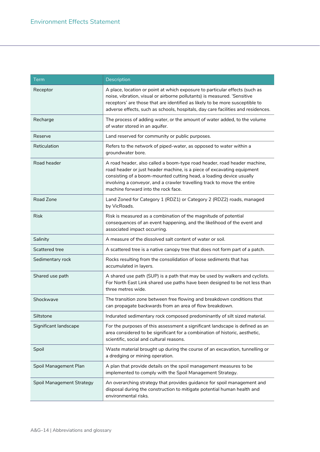| <b>Term</b>                      | Description                                                                                                                                                                                                                                                                                                                                 |
|----------------------------------|---------------------------------------------------------------------------------------------------------------------------------------------------------------------------------------------------------------------------------------------------------------------------------------------------------------------------------------------|
| Receptor                         | A place, location or point at which exposure to particular effects (such as<br>noise, vibration, visual or airborne pollutants) is measured. 'Sensitive<br>receptors' are those that are identified as likely to be more susceptible to<br>adverse effects, such as schools, hospitals, day care facilities and residences.                 |
| Recharge                         | The process of adding water, or the amount of water added, to the volume<br>of water stored in an aquifer.                                                                                                                                                                                                                                  |
| Reserve                          | Land reserved for community or public purposes.                                                                                                                                                                                                                                                                                             |
| Reticulation                     | Refers to the network of piped-water, as opposed to water within a<br>groundwater bore.                                                                                                                                                                                                                                                     |
| Road header                      | A road header, also called a boom-type road header, road header machine,<br>road header or just header machine, is a piece of excavating equipment<br>consisting of a boom-mounted cutting head, a loading device usually<br>involving a conveyor, and a crawler travelling track to move the entire<br>machine forward into the rock face. |
| Road Zone                        | Land Zoned for Category 1 (RDZ1) or Category 2 (RDZ2) roads, managed<br>by VicRoads.                                                                                                                                                                                                                                                        |
| <b>Risk</b>                      | Risk is measured as a combination of the magnitude of potential<br>consequences of an event happening, and the likelihood of the event and<br>associated impact occurring.                                                                                                                                                                  |
| Salinity                         | A measure of the dissolved salt content of water or soil.                                                                                                                                                                                                                                                                                   |
| Scattered tree                   | A scattered tree is a native canopy tree that does not form part of a patch.                                                                                                                                                                                                                                                                |
| Sedimentary rock                 | Rocks resulting from the consolidation of loose sediments that has<br>accumulated in layers.                                                                                                                                                                                                                                                |
| Shared use path                  | A shared use path (SUP) is a path that may be used by walkers and cyclists.<br>For North East Link shared use paths have been designed to be not less than<br>three metres wide.                                                                                                                                                            |
| Shockwave                        | The transition zone between free flowing and breakdown conditions that<br>can propagate backwards from an area of flow breakdown.                                                                                                                                                                                                           |
| Siltstone                        | Indurated sedimentary rock composed predominantly of silt sized material.                                                                                                                                                                                                                                                                   |
| Significant landscape            | For the purposes of this assessment a significant landscape is defined as an<br>area considered to be significant for a combination of historic, aesthetic,<br>scientific, social and cultural reasons.                                                                                                                                     |
| Spoil                            | Waste material brought up during the course of an excavation, tunnelling or<br>a dredging or mining operation.                                                                                                                                                                                                                              |
| Spoil Management Plan            | A plan that provide details on the spoil management measures to be<br>implemented to comply with the Spoil Management Strategy.                                                                                                                                                                                                             |
| <b>Spoil Management Strategy</b> | An overarching strategy that provides guidance for spoil management and<br>disposal during the construction to mitigate potential human health and<br>environmental risks.                                                                                                                                                                  |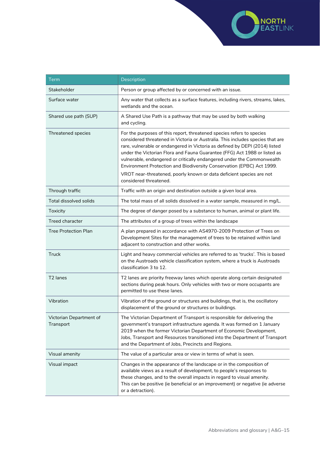

| <b>Term</b>                          | Description                                                                                                                                                                                                                                                                                                                                                                                                                                                                                                                                                              |
|--------------------------------------|--------------------------------------------------------------------------------------------------------------------------------------------------------------------------------------------------------------------------------------------------------------------------------------------------------------------------------------------------------------------------------------------------------------------------------------------------------------------------------------------------------------------------------------------------------------------------|
| Stakeholder                          | Person or group affected by or concerned with an issue.                                                                                                                                                                                                                                                                                                                                                                                                                                                                                                                  |
| Surface water                        | Any water that collects as a surface features, including rivers, streams, lakes,<br>wetlands and the ocean.                                                                                                                                                                                                                                                                                                                                                                                                                                                              |
| Shared use path (SUP)                | A Shared Use Path is a pathway that may be used by both walking<br>and cycling.                                                                                                                                                                                                                                                                                                                                                                                                                                                                                          |
| Threatened species                   | For the purposes of this report, threatened species refers to species<br>considered threatened in Victoria or Australia. This includes species that are<br>rare, vulnerable or endangered in Victoria as defined by DEPI (2014) listed<br>under the Victorian Flora and Fauna Guarantee (FFG) Act 1988 or listed as<br>vulnerable, endangered or critically endangered under the Commonwealth<br>Environment Protection and Biodiversity Conservation (EPBC) Act 1999.<br>VROT near-threatened, poorly known or data deficient species are not<br>considered threatened. |
| Through traffic                      | Traffic with an origin and destination outside a given local area.                                                                                                                                                                                                                                                                                                                                                                                                                                                                                                       |
| <b>Total dissolved solids</b>        | The total mass of all solids dissolved in a water sample, measured in mg/L.                                                                                                                                                                                                                                                                                                                                                                                                                                                                                              |
| Toxicity                             | The degree of danger posed by a substance to human, animal or plant life.                                                                                                                                                                                                                                                                                                                                                                                                                                                                                                |
| <b>Treed character</b>               | The attributes of a group of trees within the landscape                                                                                                                                                                                                                                                                                                                                                                                                                                                                                                                  |
| <b>Tree Protection Plan</b>          | A plan prepared in accordance with AS4970-2009 Protection of Trees on<br>Development Sites for the management of trees to be retained within land<br>adjacent to construction and other works.                                                                                                                                                                                                                                                                                                                                                                           |
| <b>Truck</b>                         | Light and heavy commercial vehicles are referred to as 'trucks'. This is based<br>on the Austroads vehicle classification system, where a truck is Austroads<br>classification 3 to 12.                                                                                                                                                                                                                                                                                                                                                                                  |
| T <sub>2</sub> lanes                 | T2 lanes are priority freeway lanes which operate along certain designated<br>sections during peak hours. Only vehicles with two or more occupants are<br>permitted to use these lanes.                                                                                                                                                                                                                                                                                                                                                                                  |
| Vibration                            | Vibration of the ground or structures and buildings, that is, the oscillatory<br>displacement of the ground or structures or buildings.                                                                                                                                                                                                                                                                                                                                                                                                                                  |
| Victorian Department of<br>Transport | The Victorian Department of Transport is responsible for delivering the<br>government's transport infrastructure agenda. It was formed on 1 January<br>2019 when the former Victorian Department of Economic Development,<br>Jobs, Transport and Resources transitioned into the Department of Transport<br>and the Department of Jobs, Precincts and Regions.                                                                                                                                                                                                           |
| Visual amenity                       | The value of a particular area or view in terms of what is seen.                                                                                                                                                                                                                                                                                                                                                                                                                                                                                                         |
| Visual impact                        | Changes in the appearance of the landscape or in the composition of<br>available views as a result of development, to people's responses to<br>these changes, and to the overall impacts in regard to visual amenity.<br>This can be positive (ie beneficial or an improvement) or negative (ie adverse<br>or a detraction).                                                                                                                                                                                                                                             |